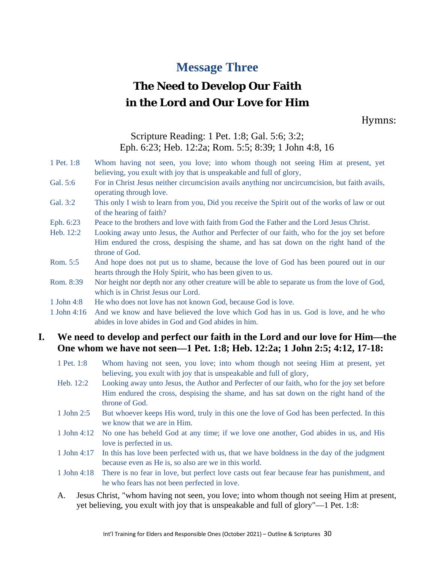## **Message Three**

# **The Need to Develop Our Faith in the Lord and Our Love for Him**

Hymns:

## Scripture Reading: 1 Pet. 1:8; Gal. 5:6; 3:2; Eph. 6:23; Heb. 12:2a; Rom. 5:5; 8:39; 1 John 4:8, 16

#### 1 Pet. 1:8 Whom having not seen, you love; into whom though not seeing Him at present, yet believing, you exult with joy that is unspeakable and full of glory,

Gal. 5:6 For in Christ Jesus neither circumcision avails anything nor uncircumcision, but faith avails, operating through love.

- Gal. 3:2 This only I wish to learn from you, Did you receive the Spirit out of the works of law or out of the hearing of faith?
- Eph. 6:23 Peace to the brothers and love with faith from God the Father and the Lord Jesus Christ.
- Heb. 12:2 Looking away unto Jesus, the Author and Perfecter of our faith, who for the joy set before Him endured the cross, despising the shame, and has sat down on the right hand of the throne of God.
- Rom. 5:5 And hope does not put us to shame, because the love of God has been poured out in our hearts through the Holy Spirit, who has been given to us.
- Rom. 8:39 Nor height nor depth nor any other creature will be able to separate us from the love of God, which is in Christ Jesus our Lord.
- 1 John 4:8 He who does not love has not known God, because God is love.
- 1 John 4:16 And we know and have believed the love which God has in us. God is love, and he who abides in love abides in God and God abides in him.

## **I. We need to develop and perfect our faith in the Lord and our love for Him—the One whom we have not seen—1 Pet. 1:8; Heb. 12:2a; 1 John 2:5; 4:12, 17-18:**

- 1 Pet. 1:8 Whom having not seen, you love; into whom though not seeing Him at present, yet believing, you exult with joy that is unspeakable and full of glory,
- Heb. 12:2 Looking away unto Jesus, the Author and Perfecter of our faith, who for the joy set before Him endured the cross, despising the shame, and has sat down on the right hand of the throne of God.
- 1 John 2:5 But whoever keeps His word, truly in this one the love of God has been perfected. In this we know that we are in Him.
- 1 John 4:12 No one has beheld God at any time; if we love one another, God abides in us, and His love is perfected in us.
- 1 John 4:17 In this has love been perfected with us, that we have boldness in the day of the judgment because even as He is, so also are we in this world.
- 1 John 4:18 There is no fear in love, but perfect love casts out fear because fear has punishment, and he who fears has not been perfected in love.
- A. Jesus Christ, "whom having not seen, you love; into whom though not seeing Him at present, yet believing, you exult with joy that is unspeakable and full of glory"—1 Pet. 1:8: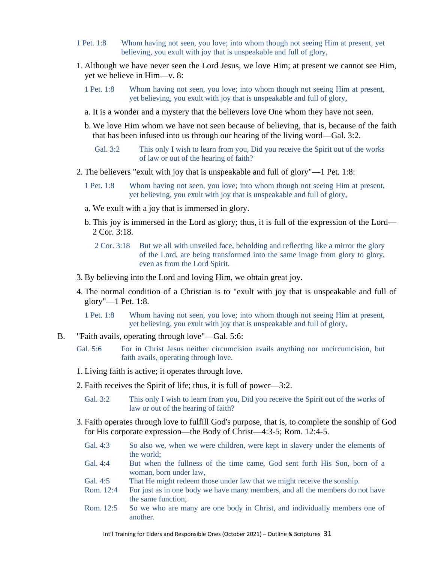- 1 Pet. 1:8 Whom having not seen, you love; into whom though not seeing Him at present, yet believing, you exult with joy that is unspeakable and full of glory,
- 1. Although we have never seen the Lord Jesus, we love Him; at present we cannot see Him, yet we believe in Him—v. 8:
	- 1 Pet. 1:8 Whom having not seen, you love; into whom though not seeing Him at present, yet believing, you exult with joy that is unspeakable and full of glory,
	- a. It is a wonder and a mystery that the believers love One whom they have not seen.
	- b. We love Him whom we have not seen because of believing, that is, because of the faith that has been infused into us through our hearing of the living word—Gal. 3:2.
		- Gal. 3:2 This only I wish to learn from you, Did you receive the Spirit out of the works of law or out of the hearing of faith?
- 2. The believers "exult with joy that is unspeakable and full of glory"—1 Pet. 1:8:
	- 1 Pet. 1:8 Whom having not seen, you love; into whom though not seeing Him at present, yet believing, you exult with joy that is unspeakable and full of glory,
	- a. We exult with a joy that is immersed in glory.
	- b. This joy is immersed in the Lord as glory; thus, it is full of the expression of the Lord— 2 Cor. 3:18.
		- 2 Cor. 3:18 But we all with unveiled face, beholding and reflecting like a mirror the glory of the Lord, are being transformed into the same image from glory to glory, even as from the Lord Spirit.
- 3. By believing into the Lord and loving Him, we obtain great joy.
- 4. The normal condition of a Christian is to "exult with joy that is unspeakable and full of glory"—1 Pet. 1:8.
	- 1 Pet. 1:8 Whom having not seen, you love; into whom though not seeing Him at present, yet believing, you exult with joy that is unspeakable and full of glory,
- B. "Faith avails, operating through love"—Gal. 5:6:
	- Gal. 5:6 For in Christ Jesus neither circumcision avails anything nor uncircumcision, but faith avails, operating through love.
	- 1. Living faith is active; it operates through love.
	- 2. Faith receives the Spirit of life; thus, it is full of power—3:2.
		- Gal. 3:2 This only I wish to learn from you, Did you receive the Spirit out of the works of law or out of the hearing of faith?
	- 3. Faith operates through love to fulfill God's purpose, that is, to complete the sonship of God for His corporate expression—the Body of Christ—4:3-5; Rom. 12:4-5.
		- Gal. 4:3 So also we, when we were children, were kept in slavery under the elements of the world;
		- Gal. 4:4 But when the fullness of the time came, God sent forth His Son, born of a woman, born under law,
		- Gal. 4:5 That He might redeem those under law that we might receive the sonship.
		- Rom. 12:4 For just as in one body we have many members, and all the members do not have the same function,
		- Rom. 12:5 So we who are many are one body in Christ, and individually members one of another.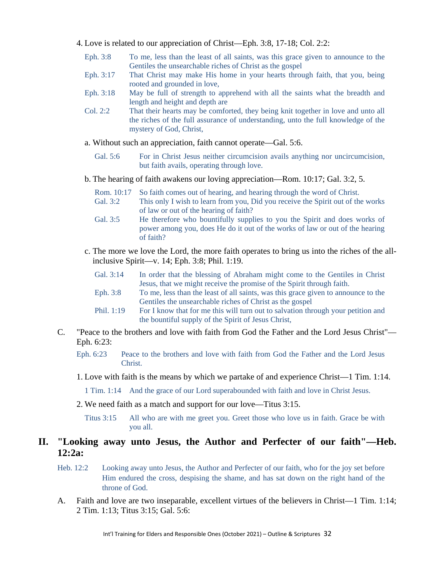- 4. Love is related to our appreciation of Christ—Eph. 3:8, 17-18; Col. 2:2:
	- Eph. 3:8 To me, less than the least of all saints, was this grace given to announce to the Gentiles the unsearchable riches of Christ as the gospel
	- Eph. 3:17 That Christ may make His home in your hearts through faith, that you, being rooted and grounded in love,
	- Eph. 3:18 May be full of strength to apprehend with all the saints what the breadth and length and height and depth are
	- Col. 2:2 That their hearts may be comforted, they being knit together in love and unto all the riches of the full assurance of understanding, unto the full knowledge of the mystery of God, Christ,
	- a. Without such an appreciation, faith cannot operate—Gal. 5:6.
		- Gal. 5:6 For in Christ Jesus neither circumcision avails anything nor uncircumcision, but faith avails, operating through love.
	- b. The hearing of faith awakens our loving appreciation—Rom. 10:17; Gal. 3:2, 5.
		- Rom. 10:17 So faith comes out of hearing, and hearing through the word of Christ.
		- Gal. 3:2 This only I wish to learn from you, Did you receive the Spirit out of the works of law or out of the hearing of faith?
		- Gal. 3:5 He therefore who bountifully supplies to you the Spirit and does works of power among you, does He do it out of the works of law or out of the hearing of faith?
	- c. The more we love the Lord, the more faith operates to bring us into the riches of the allinclusive Spirit—v. 14; Eph. 3:8; Phil. 1:19.

| Gal. 3:14 | In order that the blessing of Abraham might come to the Gentiles in Christ |
|-----------|----------------------------------------------------------------------------|
|           | Jesus, that we might receive the promise of the Spirit through faith.      |

- Eph. 3:8 To me, less than the least of all saints, was this grace given to announce to the Gentiles the unsearchable riches of Christ as the gospel
- Phil. 1:19 For I know that for me this will turn out to salvation through your petition and the bountiful supply of the Spirit of Jesus Christ,
- C. "Peace to the brothers and love with faith from God the Father and the Lord Jesus Christ"— Eph. 6:23:

Eph. 6:23 Peace to the brothers and love with faith from God the Father and the Lord Jesus Christ.

1. Love with faith is the means by which we partake of and experience Christ—1 Tim. 1:14.

1 Tim. 1:14 And the grace of our Lord superabounded with faith and love in Christ Jesus.

- 2. We need faith as a match and support for our love—Titus 3:15.
	- Titus 3:15 All who are with me greet you. Greet those who love us in faith. Grace be with you all.

### **II. "Looking away unto Jesus, the Author and Perfecter of our faith"—Heb. 12:2a:**

- Heb. 12:2 Looking away unto Jesus, the Author and Perfecter of our faith, who for the joy set before Him endured the cross, despising the shame, and has sat down on the right hand of the throne of God.
- A. Faith and love are two inseparable, excellent virtues of the believers in Christ—1 Tim. 1:14; 2 Tim. 1:13; Titus 3:15; Gal. 5:6: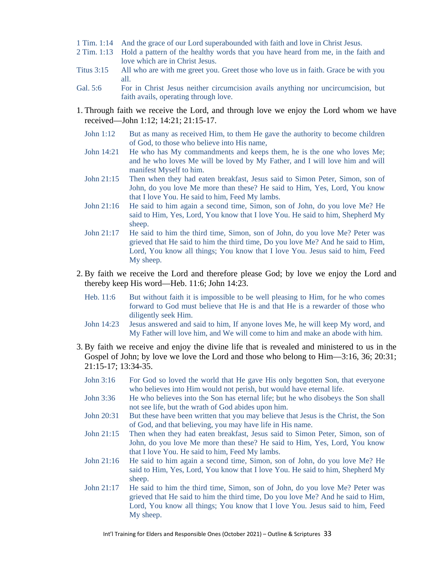- 1 Tim. 1:14 And the grace of our Lord superabounded with faith and love in Christ Jesus.
- 2 Tim. 1:13 Hold a pattern of the healthy words that you have heard from me, in the faith and love which are in Christ Jesus.
- Titus 3:15 All who are with me greet you. Greet those who love us in faith. Grace be with you all.
- Gal. 5:6 For in Christ Jesus neither circumcision avails anything nor uncircumcision, but faith avails, operating through love.
- 1. Through faith we receive the Lord, and through love we enjoy the Lord whom we have received—John 1:12; 14:21; 21:15-17.
	- John 1:12 But as many as received Him, to them He gave the authority to become children of God, to those who believe into His name,
	- John 14:21 He who has My commandments and keeps them, he is the one who loves Me; and he who loves Me will be loved by My Father, and I will love him and will manifest Myself to him.
	- John 21:15 Then when they had eaten breakfast, Jesus said to Simon Peter, Simon, son of John, do you love Me more than these? He said to Him, Yes, Lord, You know that I love You. He said to him, Feed My lambs.
	- John 21:16 He said to him again a second time, Simon, son of John, do you love Me? He said to Him, Yes, Lord, You know that I love You. He said to him, Shepherd My sheep.
	- John 21:17 He said to him the third time, Simon, son of John, do you love Me? Peter was grieved that He said to him the third time, Do you love Me? And he said to Him, Lord, You know all things; You know that I love You. Jesus said to him, Feed My sheep.
- 2. By faith we receive the Lord and therefore please God; by love we enjoy the Lord and thereby keep His word—Heb. 11:6; John 14:23.
	- Heb. 11:6 But without faith it is impossible to be well pleasing to Him, for he who comes forward to God must believe that He is and that He is a rewarder of those who diligently seek Him.
	- John 14:23 Jesus answered and said to him, If anyone loves Me, he will keep My word, and My Father will love him, and We will come to him and make an abode with him.
- 3. By faith we receive and enjoy the divine life that is revealed and ministered to us in the Gospel of John; by love we love the Lord and those who belong to Him—3:16, 36; 20:31; 21:15-17; 13:34-35.
	- John 3:16 For God so loved the world that He gave His only begotten Son, that everyone who believes into Him would not perish, but would have eternal life.
	- John 3:36 He who believes into the Son has eternal life; but he who disobeys the Son shall not see life, but the wrath of God abides upon him.
	- John 20:31 But these have been written that you may believe that Jesus is the Christ, the Son of God, and that believing, you may have life in His name.
	- John 21:15 Then when they had eaten breakfast, Jesus said to Simon Peter, Simon, son of John, do you love Me more than these? He said to Him, Yes, Lord, You know that I love You. He said to him, Feed My lambs.
	- John 21:16 He said to him again a second time, Simon, son of John, do you love Me? He said to Him, Yes, Lord, You know that I love You. He said to him, Shepherd My sheep.
	- John 21:17 He said to him the third time, Simon, son of John, do you love Me? Peter was grieved that He said to him the third time, Do you love Me? And he said to Him, Lord, You know all things; You know that I love You. Jesus said to him, Feed My sheep.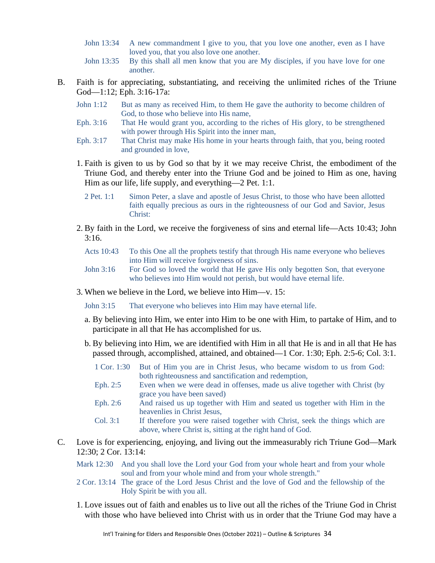- John 13:34 A new commandment I give to you, that you love one another, even as I have loved you, that you also love one another.
- John 13:35 By this shall all men know that you are My disciples, if you have love for one another.
- B. Faith is for appreciating, substantiating, and receiving the unlimited riches of the Triune God—1:12; Eph. 3:16-17a:
	- John 1:12 But as many as received Him, to them He gave the authority to become children of God, to those who believe into His name,
	- Eph. 3:16 That He would grant you, according to the riches of His glory, to be strengthened with power through His Spirit into the inner man,
	- Eph. 3:17 That Christ may make His home in your hearts through faith, that you, being rooted and grounded in love,
	- 1. Faith is given to us by God so that by it we may receive Christ, the embodiment of the Triune God, and thereby enter into the Triune God and be joined to Him as one, having Him as our life, life supply, and everything—2 Pet. 1:1.
		- 2 Pet. 1:1 Simon Peter, a slave and apostle of Jesus Christ, to those who have been allotted faith equally precious as ours in the righteousness of our God and Savior, Jesus Christ:
	- 2. By faith in the Lord, we receive the forgiveness of sins and eternal life—Acts 10:43; John  $3:16.$ 
		- Acts 10:43 To this One all the prophets testify that through His name everyone who believes into Him will receive forgiveness of sins.
		- John 3:16 For God so loved the world that He gave His only begotten Son, that everyone who believes into Him would not perish, but would have eternal life.
	- 3. When we believe in the Lord, we believe into Him—v. 15:

John 3:15 That everyone who believes into Him may have eternal life.

- a. By believing into Him, we enter into Him to be one with Him, to partake of Him, and to participate in all that He has accomplished for us.
- b. By believing into Him, we are identified with Him in all that He is and in all that He has passed through, accomplished, attained, and obtained—1 Cor. 1:30; Eph. 2:5-6; Col. 3:1.
	- 1 Cor. 1:30 But of Him you are in Christ Jesus, who became wisdom to us from God: both righteousness and sanctification and redemption,
	- Eph. 2:5 Even when we were dead in offenses, made us alive together with Christ (by grace you have been saved)
	- Eph. 2:6 And raised us up together with Him and seated us together with Him in the heavenlies in Christ Jesus,
	- Col. 3:1 If therefore you were raised together with Christ, seek the things which are above, where Christ is, sitting at the right hand of God.
- C. Love is for experiencing, enjoying, and living out the immeasurably rich Triune God—Mark 12:30; 2 Cor. 13:14:
	- Mark 12:30 And you shall love the Lord your God from your whole heart and from your whole soul and from your whole mind and from your whole strength."
	- 2 Cor. 13:14 The grace of the Lord Jesus Christ and the love of God and the fellowship of the Holy Spirit be with you all.
	- 1. Love issues out of faith and enables us to live out all the riches of the Triune God in Christ with those who have believed into Christ with us in order that the Triune God may have a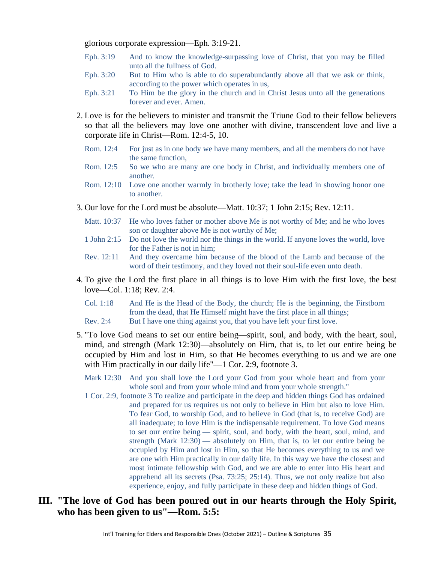glorious corporate expression—Eph. 3:19-21.

- Eph. 3:19 And to know the knowledge-surpassing love of Christ, that you may be filled unto all the fullness of God.
- Eph. 3:20 But to Him who is able to do superabundantly above all that we ask or think, according to the power which operates in us,
- Eph. 3:21 To Him be the glory in the church and in Christ Jesus unto all the generations forever and ever. Amen.
- 2. Love is for the believers to minister and transmit the Triune God to their fellow believers so that all the believers may love one another with divine, transcendent love and live a corporate life in Christ—Rom. 12:4-5, 10.
	- Rom. 12:4 For just as in one body we have many members, and all the members do not have the same function,
	- Rom. 12:5 So we who are many are one body in Christ, and individually members one of another.
	- Rom. 12:10 Love one another warmly in brotherly love; take the lead in showing honor one to another.
- 3. Our love for the Lord must be absolute—Matt. 10:37; 1 John 2:15; Rev. 12:11.
	- Matt. 10:37 He who loves father or mother above Me is not worthy of Me; and he who loves son or daughter above Me is not worthy of Me;
	- 1 John 2:15 Do not love the world nor the things in the world. If anyone loves the world, love for the Father is not in him;
	- Rev. 12:11 And they overcame him because of the blood of the Lamb and because of the word of their testimony, and they loved not their soul-life even unto death.
- 4. To give the Lord the first place in all things is to love Him with the first love, the best love—Col. 1:18; Rev. 2:4.
	- Col. 1:18 And He is the Head of the Body, the church; He is the beginning, the Firstborn from the dead, that He Himself might have the first place in all things; Rev. 2:4 But I have one thing against you, that you have left your first love.
- 5. "To love God means to set our entire being—spirit, soul, and body, with the heart, soul, mind, and strength (Mark 12:30)—absolutely on Him, that is, to let our entire being be occupied by Him and lost in Him, so that He becomes everything to us and we are one with Him practically in our daily life"—1 Cor. 2:9, footnote 3.
	- Mark 12:30 And you shall love the Lord your God from your whole heart and from your whole soul and from your whole mind and from your whole strength."
	- 1 Cor. 2:9, footnote 3 To realize and participate in the deep and hidden things God has ordained and prepared for us requires us not only to believe in Him but also to love Him. To fear God, to worship God, and to believe in God (that is, to receive God) are all inadequate; to love Him is the indispensable requirement. To love God means to set our entire being — spirit, soul, and body, with the heart, soul, mind, and strength (Mark 12:30) — absolutely on Him, that is, to let our entire being be occupied by Him and lost in Him, so that He becomes everything to us and we are one with Him practically in our daily life. In this way we have the closest and most intimate fellowship with God, and we are able to enter into His heart and apprehend all its secrets (Psa. 73:25; 25:14). Thus, we not only realize but also experience, enjoy, and fully participate in these deep and hidden things of God.
- **III. "The love of God has been poured out in our hearts through the Holy Spirit, who has been given to us"—Rom. 5:5:**